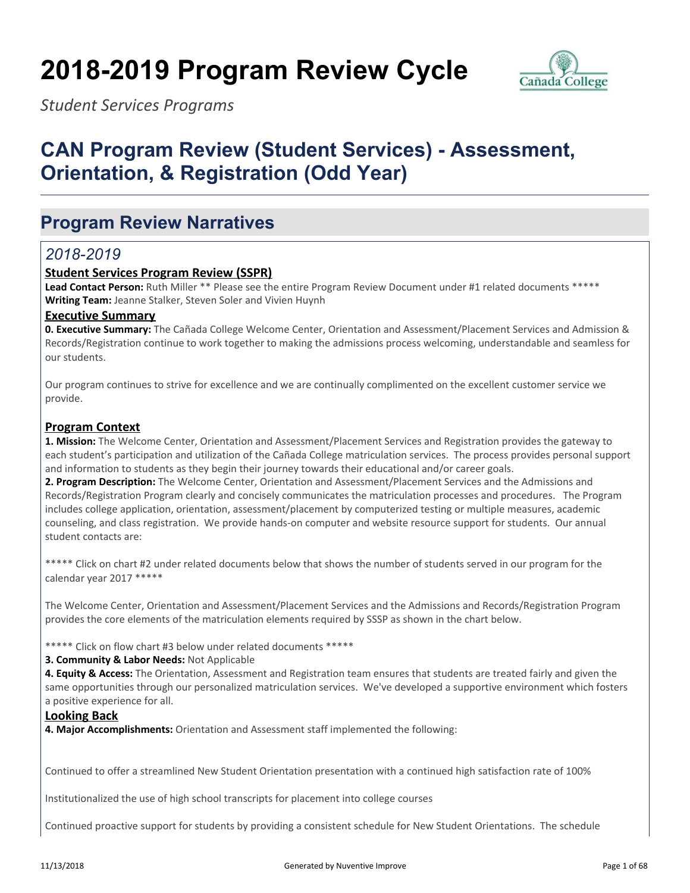# **2018-2019 Program Review Cycle**



*Student Services Programs*

## **CAN Program Review (Student Services) - Assessment, Orientation, & Registration (Odd Year)**

## **Program Review Narratives**

## *2018-2019*

#### **Student Services Program Review (SSPR)**

**Lead Contact Person:** Ruth Miller \*\* Please see the entire Program Review Document under #1 related documents \*\*\*\*\* **Writing Team:** Jeanne Stalker, Steven Soler and Vivien Huynh

#### **Executive Summary**

**0. Executive Summary:** The Cañada College Welcome Center, Orientation and Assessment/Placement Services and Admission & Records/Registration continue to work together to making the admissions process welcoming, understandable and seamless for our students.

Our program continues to strive for excellence and we are continually complimented on the excellent customer service we provide.

#### **Program Context**

**1. Mission:** The Welcome Center, Orientation and Assessment/Placement Services and Registration provides the gateway to each student's participation and utilization of the Cañada College matriculation services. The process provides personal support and information to students as they begin their journey towards their educational and/or career goals.

**2. Program Description:** The Welcome Center, Orientation and Assessment/Placement Services and the Admissions and Records/Registration Program clearly and concisely communicates the matriculation processes and procedures. The Program includes college application, orientation, assessment/placement by computerized testing or multiple measures, academic counseling, and class registration. We provide hands-on computer and website resource support for students. Our annual student contacts are:

\*\*\*\*\* Click on chart #2 under related documents below that shows the number of students served in our program for the calendar year 2017 \*\*\*\*\*

The Welcome Center, Orientation and Assessment/Placement Services and the Admissions and Records/Registration Program provides the core elements of the matriculation elements required by SSSP as shown in the chart below.

\*\*\*\*\* Click on flow chart #3 below under related documents \*\*\*\*\*

#### **3. Community & Labor Needs:** Not Applicable

**4. Equity & Access:** The Orientation, Assessment and Registration team ensures that students are treated fairly and given the same opportunities through our personalized matriculation services. We've developed a supportive environment which fosters a positive experience for all.

#### **Looking Back**

**4. Major Accomplishments:** Orientation and Assessment staff implemented the following:

Continued to offer a streamlined New Student Orientation presentation with a continued high satisfaction rate of 100%

Institutionalized the use of high school transcripts for placement into college courses

Continued proactive support for students by providing a consistent schedule for New Student Orientations. The schedule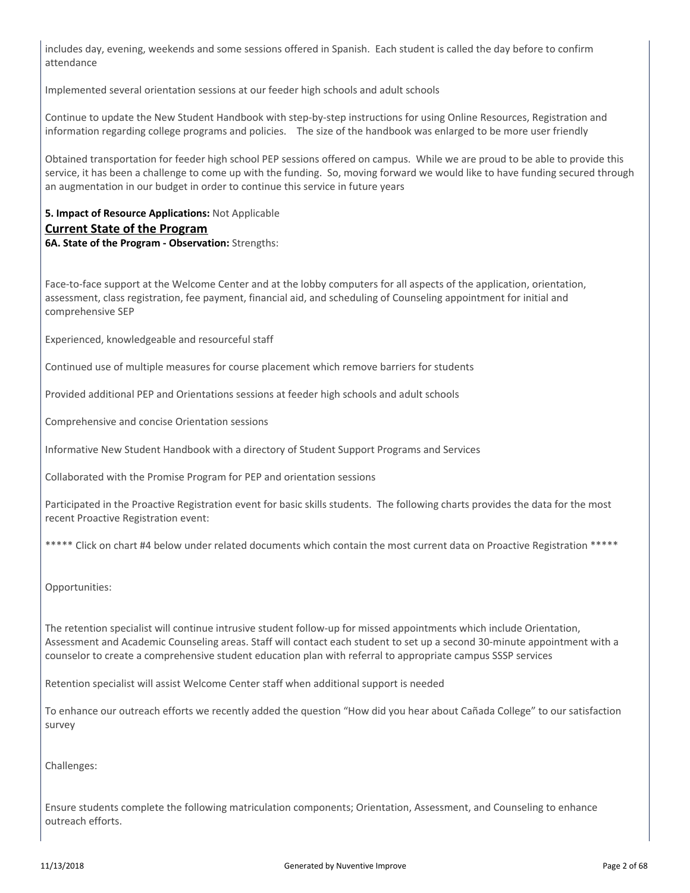includes day, evening, weekends and some sessions offered in Spanish. Each student is called the day before to confirm attendance

Implemented several orientation sessions at our feeder high schools and adult schools

Continue to update the New Student Handbook with step-by-step instructions for using Online Resources, Registration and information regarding college programs and policies. The size of the handbook was enlarged to be more user friendly

Obtained transportation for feeder high school PEP sessions offered on campus. While we are proud to be able to provide this service, it has been a challenge to come up with the funding. So, moving forward we would like to have funding secured through an augmentation in our budget in order to continue this service in future years

### **5. Impact of Resource Applications:** Not Applicable **Current State of the Program**

**6A. State of the Program - Observation:** Strengths:

Face-to-face support at the Welcome Center and at the lobby computers for all aspects of the application, orientation, assessment, class registration, fee payment, financial aid, and scheduling of Counseling appointment for initial and comprehensive SEP

Experienced, knowledgeable and resourceful staff

Continued use of multiple measures for course placement which remove barriers for students

Provided additional PEP and Orientations sessions at feeder high schools and adult schools

Comprehensive and concise Orientation sessions

Informative New Student Handbook with a directory of Student Support Programs and Services

Collaborated with the Promise Program for PEP and orientation sessions

Participated in the Proactive Registration event for basic skills students. The following charts provides the data for the most recent Proactive Registration event:

\*\*\*\*\* Click on chart #4 below under related documents which contain the most current data on Proactive Registration \*\*\*\*\*

Opportunities:

The retention specialist will continue intrusive student follow-up for missed appointments which include Orientation, Assessment and Academic Counseling areas. Staff will contact each student to set up a second 30-minute appointment with a counselor to create a comprehensive student education plan with referral to appropriate campus SSSP services

Retention specialist will assist Welcome Center staff when additional support is needed

To enhance our outreach efforts we recently added the question "How did you hear about Cañada College" to our satisfaction survey

Challenges:

Ensure students complete the following matriculation components; Orientation, Assessment, and Counseling to enhance outreach efforts.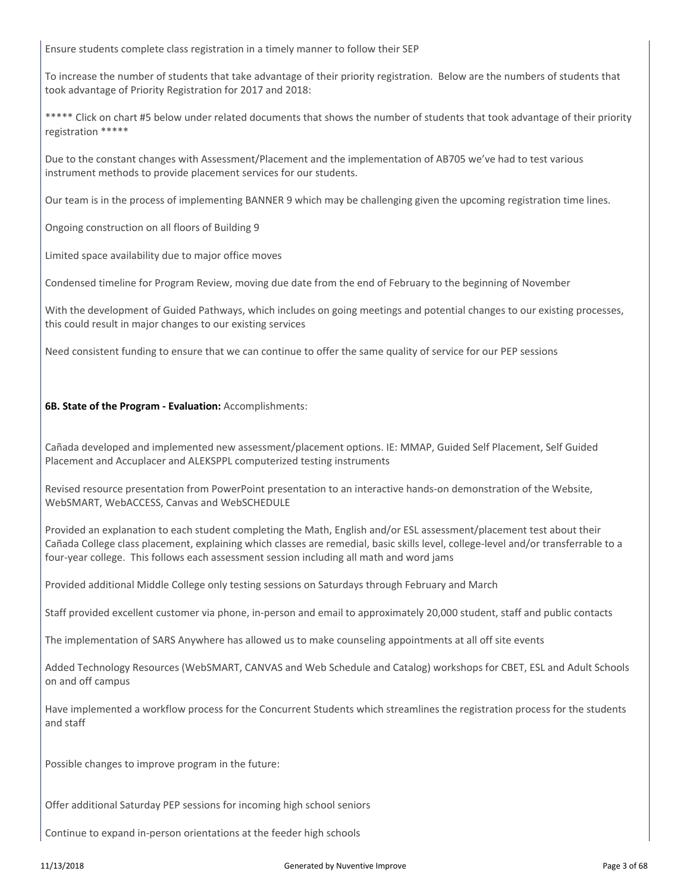Ensure students complete class registration in a timely manner to follow their SEP

To increase the number of students that take advantage of their priority registration. Below are the numbers of students that took advantage of Priority Registration for 2017 and 2018:

\*\*\*\*\* Click on chart #5 below under related documents that shows the number of students that took advantage of their priority registration \*\*\*\*\*

Due to the constant changes with Assessment/Placement and the implementation of AB705 we've had to test various instrument methods to provide placement services for our students.

Our team is in the process of implementing BANNER 9 which may be challenging given the upcoming registration time lines.

Ongoing construction on all floors of Building 9

Limited space availability due to major office moves

Condensed timeline for Program Review, moving due date from the end of February to the beginning of November

With the development of Guided Pathways, which includes on going meetings and potential changes to our existing processes, this could result in major changes to our existing services

Need consistent funding to ensure that we can continue to offer the same quality of service for our PEP sessions

#### **6B. State of the Program - Evaluation:** Accomplishments:

Cañada developed and implemented new assessment/placement options. IE: MMAP, Guided Self Placement, Self Guided Placement and Accuplacer and ALEKSPPL computerized testing instruments

Revised resource presentation from PowerPoint presentation to an interactive hands-on demonstration of the Website, WebSMART, WebACCESS, Canvas and WebSCHEDULE

Provided an explanation to each student completing the Math, English and/or ESL assessment/placement test about their Cañada College class placement, explaining which classes are remedial, basic skills level, college-level and/or transferrable to a four-year college. This follows each assessment session including all math and word jams

Provided additional Middle College only testing sessions on Saturdays through February and March

Staff provided excellent customer via phone, in-person and email to approximately 20,000 student, staff and public contacts

The implementation of SARS Anywhere has allowed us to make counseling appointments at all off site events

Added Technology Resources (WebSMART, CANVAS and Web Schedule and Catalog) workshops for CBET, ESL and Adult Schools on and off campus

Have implemented a workflow process for the Concurrent Students which streamlines the registration process for the students and staff

Possible changes to improve program in the future:

Offer additional Saturday PEP sessions for incoming high school seniors

Continue to expand in-person orientations at the feeder high schools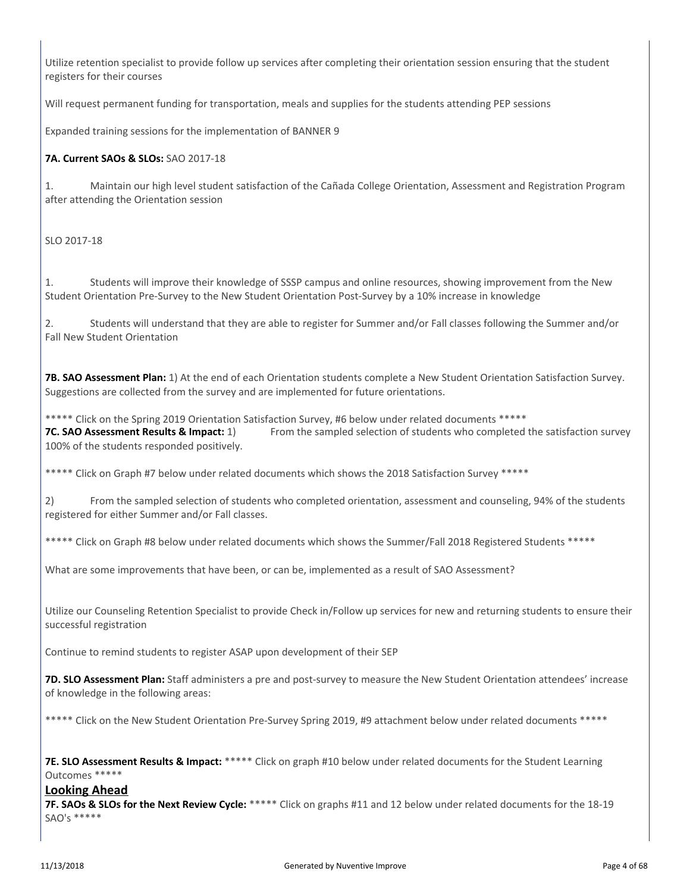Utilize retention specialist to provide follow up services after completing their orientation session ensuring that the student registers for their courses

Will request permanent funding for transportation, meals and supplies for the students attending PEP sessions

Expanded training sessions for the implementation of BANNER 9

#### **7A. Current SAOs & SLOs:** SAO 2017-18

1. Maintain our high level student satisfaction of the Cañada College Orientation, Assessment and Registration Program after attending the Orientation session

#### SLO 2017-18

1. Students will improve their knowledge of SSSP campus and online resources, showing improvement from the New Student Orientation Pre-Survey to the New Student Orientation Post-Survey by a 10% increase in knowledge

2. Students will understand that they are able to register for Summer and/or Fall classes following the Summer and/or Fall New Student Orientation

**7B. SAO Assessment Plan:** 1) At the end of each Orientation students complete a New Student Orientation Satisfaction Survey. Suggestions are collected from the survey and are implemented for future orientations.

\*\*\*\*\* Click on the Spring 2019 Orientation Satisfaction Survey, #6 below under related documents \*\*\*\*\* **7C. SAO Assessment Results & Impact:** 1) From the sampled selection of students who completed the satisfaction survey 100% of the students responded positively.

\*\*\*\*\* Click on Graph #7 below under related documents which shows the 2018 Satisfaction Survey \*\*\*\*\*

2) From the sampled selection of students who completed orientation, assessment and counseling, 94% of the students registered for either Summer and/or Fall classes.

\*\*\*\*\* Click on Graph #8 below under related documents which shows the Summer/Fall 2018 Registered Students \*\*\*\*\*

What are some improvements that have been, or can be, implemented as a result of SAO Assessment?

Utilize our Counseling Retention Specialist to provide Check in/Follow up services for new and returning students to ensure their successful registration

Continue to remind students to register ASAP upon development of their SEP

**7D. SLO Assessment Plan:** Staff administers a pre and post-survey to measure the New Student Orientation attendees' increase of knowledge in the following areas:

\*\*\*\*\* Click on the New Student Orientation Pre-Survey Spring 2019, #9 attachment below under related documents \*\*\*\*\*

**7E. SLO Assessment Results & Impact:** \*\*\*\*\* Click on graph #10 below under related documents for the Student Learning Outcomes \*\*\*\*\*

#### **Looking Ahead**

**7F. SAOs & SLOs for the Next Review Cycle:** \*\*\*\*\* Click on graphs #11 and 12 below under related documents for the 18-19 SAO's \*\*\*\*\*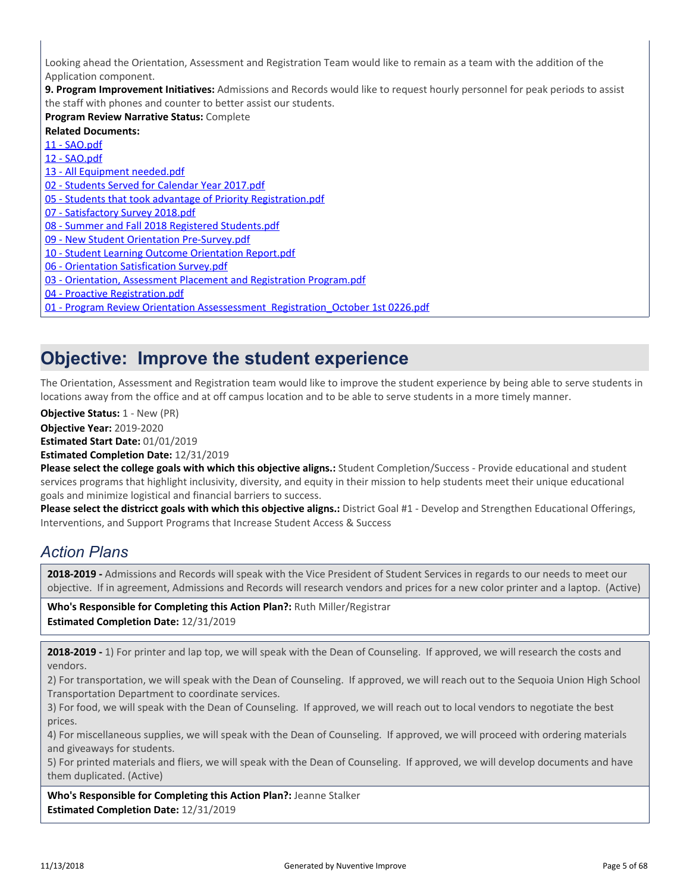Looking ahead the Orientation, Assessment and Registration Team would like to remain as a team with the addition of the Application component.

**9. Program Improvement Initiatives:** Admissions and Records would like to request hourly personnel for peak periods to assist the staff with phones and counter to better assist our students.

**Program Review Narrative Status:** Complete

**Related Documents:** [11 - SAO.pdf](https://sanmateo.tracdat.com:443/tracdat/viewDocument?y=HINSA4ZExBqC) [12 - SAO.pdf](https://sanmateo.tracdat.com:443/tracdat/viewDocument?y=CmG9wHMAp3bT) [13 - All Equipment needed.pdf](https://sanmateo.tracdat.com:443/tracdat/viewDocument?y=viAo34WHvrNM) [02 - Students Served for Calendar Year 2017.pdf](https://sanmateo.tracdat.com:443/tracdat/viewDocument?y=rxyEggyMmeOi) [05 - Students that took advantage of Priority Registration.pdf](https://sanmateo.tracdat.com:443/tracdat/viewDocument?y=VoiYZxNUrapN) [07 - Satisfactory Survey 2018.pdf](https://sanmateo.tracdat.com:443/tracdat/viewDocument?y=2TKJL2h5VmPT) [08 - Summer and Fall 2018 Registered Students.pdf](https://sanmateo.tracdat.com:443/tracdat/viewDocument?y=zZLUHR5dY77U) [09 - New Student Orientation Pre-Survey.pdf](https://sanmateo.tracdat.com:443/tracdat/viewDocument?y=XlJONjgZjiYc) [10 - Student Learning Outcome Orientation Report.pdf](https://sanmateo.tracdat.com:443/tracdat/viewDocument?y=d3RV5B3UXOIB) [06 - Orientation Satisfication Survey.pdf](https://sanmateo.tracdat.com:443/tracdat/viewDocument?y=fD8nGZHy99s1) [03 - Orientation, Assessment Placement and Registration Program.pdf](https://sanmateo.tracdat.com:443/tracdat/viewDocument?y=vhIFkU1uxpDF) [04 - Proactive Registration.pdf](https://sanmateo.tracdat.com:443/tracdat/viewDocument?y=chCN9D7HxlSp) [01 - Program Review Orientation Assessessment Registration\\_October 1st 0226.pdf](https://sanmateo.tracdat.com:443/tracdat/viewDocument?y=DLdzAVdSMNL4)

## **Objective: Improve the student experience**

The Orientation, Assessment and Registration team would like to improve the student experience by being able to serve students in locations away from the office and at off campus location and to be able to serve students in a more timely manner.

**Objective Status: 1 - New (PR)** 

**Objective Year:** 2019-2020

**Estimated Start Date:** 01/01/2019

**Estimated Completion Date:** 12/31/2019

**Please select the college goals with which this objective aligns.:** Student Completion/Success - Provide educational and student services programs that highlight inclusivity, diversity, and equity in their mission to help students meet their unique educational goals and minimize logistical and financial barriers to success.

**Please select the districct goals with which this objective aligns.:** District Goal #1 - Develop and Strengthen Educational Offerings, Interventions, and Support Programs that Increase Student Access & Success

## *Action Plans*

**2018-2019 -** Admissions and Records will speak with the Vice President of Student Services in regards to our needs to meet our objective. If in agreement, Admissions and Records will research vendors and prices for a new color printer and a laptop. (Active)

**Who's Responsible for Completing this Action Plan?:** Ruth Miller/Registrar **Estimated Completion Date:** 12/31/2019

**2018-2019 -** 1) For printer and lap top, we will speak with the Dean of Counseling. If approved, we will research the costs and vendors.

2) For transportation, we will speak with the Dean of Counseling. If approved, we will reach out to the Sequoia Union High School Transportation Department to coordinate services.

3) For food, we will speak with the Dean of Counseling. If approved, we will reach out to local vendors to negotiate the best prices.

4) For miscellaneous supplies, we will speak with the Dean of Counseling. If approved, we will proceed with ordering materials and giveaways for students.

5) For printed materials and fliers, we will speak with the Dean of Counseling. If approved, we will develop documents and have them duplicated. (Active)

**Who's Responsible for Completing this Action Plan?:** Jeanne Stalker **Estimated Completion Date:** 12/31/2019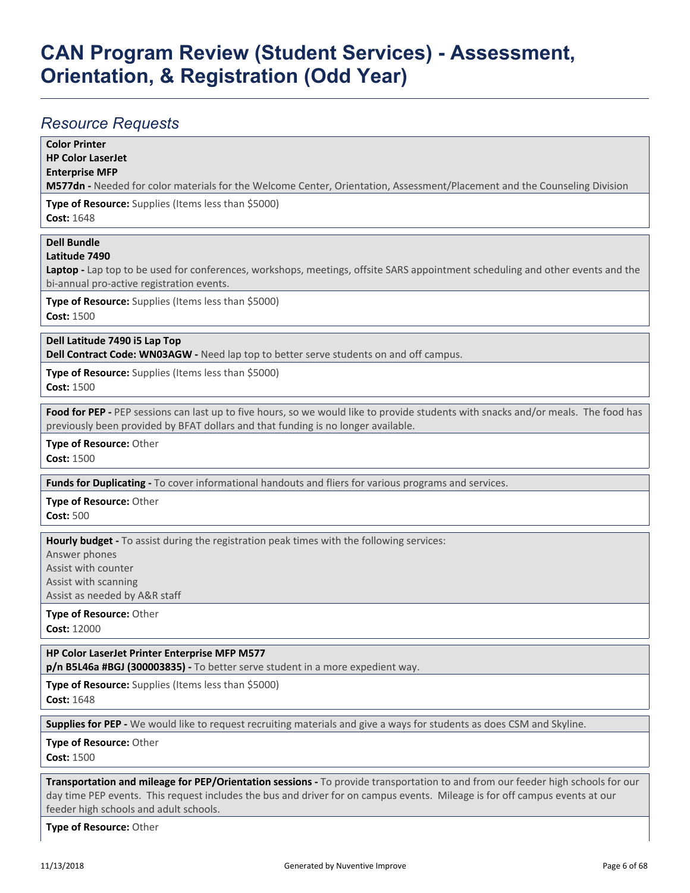### *Resource Requests*

**Color Printer**

**HP Color LaserJet**

#### **Enterprise MFP**

**M577dn -** Needed for color materials for the Welcome Center, Orientation, Assessment/Placement and the Counseling Division

**Type of Resource:** Supplies (Items less than \$5000)

**Cost:** 1648

### **Dell Bundle**

#### **Latitude 7490**

**Laptop -** Lap top to be used for conferences, workshops, meetings, offsite SARS appointment scheduling and other events and the bi-annual pro-active registration events.

**Type of Resource:** Supplies (Items less than \$5000) **Cost:** 1500

**Dell Latitude 7490 i5 Lap Top**

**Dell Contract Code: WN03AGW -** Need lap top to better serve students on and off campus.

**Type of Resource:** Supplies (Items less than \$5000) **Cost:** 1500

**Food for PEP -** PEP sessions can last up to five hours, so we would like to provide students with snacks and/or meals. The food has previously been provided by BFAT dollars and that funding is no longer available.

**Type of Resource:** Other

**Cost:** 1500

**Funds for Duplicating -** To cover informational handouts and fliers for various programs and services.

**Type of Resource:** Other **Cost:** 500

**Hourly budget -** To assist during the registration peak times with the following services:

Answer phones

Assist with counter

Assist with scanning

Assist as needed by A&R staff

**Type of Resource:** Other **Cost:** 12000

**HP Color LaserJet Printer Enterprise MFP M577**

**p/n B5L46a #BGJ (300003835) -** To better serve student in a more expedient way.

**Type of Resource:** Supplies (Items less than \$5000) **Cost:** 1648

**Supplies for PEP -** We would like to request recruiting materials and give a ways for students as does CSM and Skyline.

**Type of Resource:** Other

**Cost:** 1500

**Transportation and mileage for PEP/Orientation sessions -** To provide transportation to and from our feeder high schools for our day time PEP events. This request includes the bus and driver for on campus events. Mileage is for off campus events at our feeder high schools and adult schools.

**Type of Resource:** Other